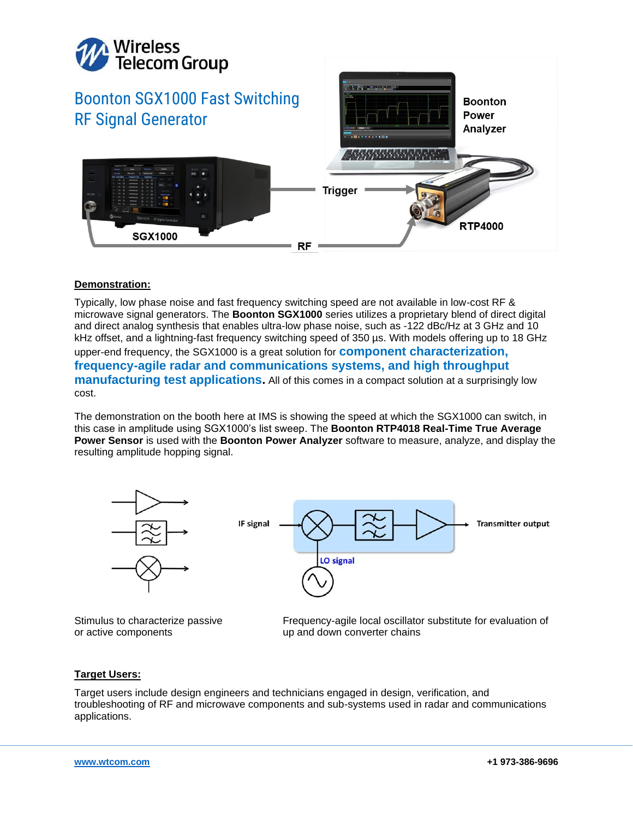

## **Demonstration:**

Typically, low phase noise and fast frequency switching speed are not available in low-cost RF & microwave signal generators. The **Boonton SGX1000** series utilizes a proprietary blend of direct digital and direct analog synthesis that enables ultra-low phase noise, such as -122 dBc/Hz at 3 GHz and 10 kHz offset, and a lightning-fast frequency switching speed of 350 µs. With models offering up to 18 GHz upper-end frequency, the SGX1000 is a great solution for **component characterization, frequency-agile radar and communications systems, and high throughput manufacturing test applications.** All of this comes in a compact solution at a surprisingly low cost.

The demonstration on the booth here at IMS is showing the speed at which the SGX1000 can switch, in this case in amplitude using SGX1000's list sweep. The **Boonton RTP4018 Real-Time True Average Power Sensor** is used with the **Boonton Power Analyzer** software to measure, analyze, and display the resulting amplitude hopping signal.



Frequency-agile local oscillator substitute for evaluation of up and down converter chains

## **Target Users:**

or active components

Target users include design engineers and technicians engaged in design, verification, and troubleshooting of RF and microwave components and sub-systems used in radar and communications applications.